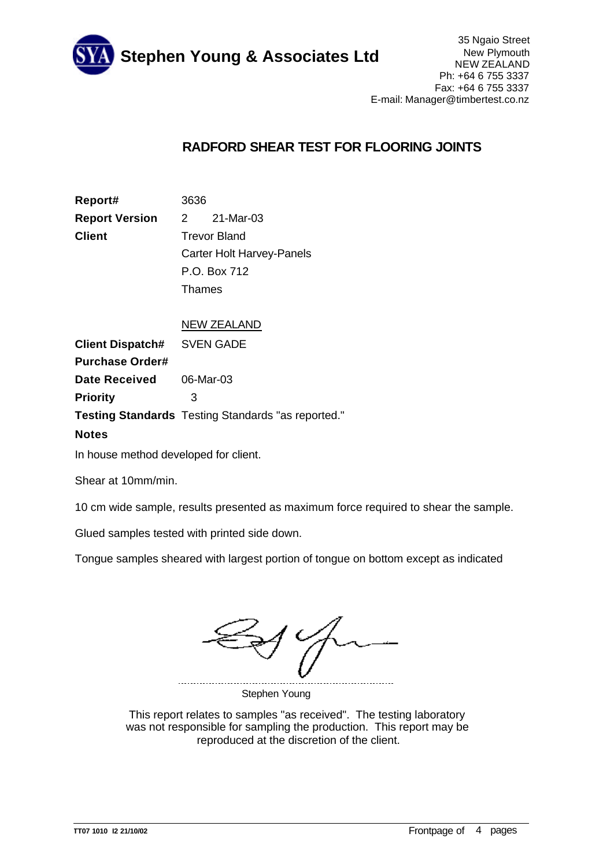

## **RADFORD SHEAR TEST FOR FLOORING JOINTS**

| Report#               |                                  | 3636      |  |  |
|-----------------------|----------------------------------|-----------|--|--|
| <b>Report Version</b> | $\sim$ 2                         | 21-Mar-03 |  |  |
| Client                | <b>Trevor Bland</b>              |           |  |  |
|                       | <b>Carter Holt Harvey-Panels</b> |           |  |  |
|                       | P.O. Box 712                     |           |  |  |
|                       |                                  | Thames    |  |  |

## NEW ZEALAND

**Date Received** 06-Mar-03 **Client Dispatch#** SVEN GADE **Purchase Order# Testing Standards** Testing Standards "as reported." **Priority** 3

## **Notes**

In house method developed for client.

Shear at 10mm/min.

10 cm wide sample, results presented as maximum force required to shear the sample.

Glued samples tested with printed side down.

Tongue samples sheared with largest portion of tongue on bottom except as indicated

Stephen Young

This report relates to samples "as received". The testing laboratory was not responsible for sampling the production. This report may be reproduced at the discretion of the client.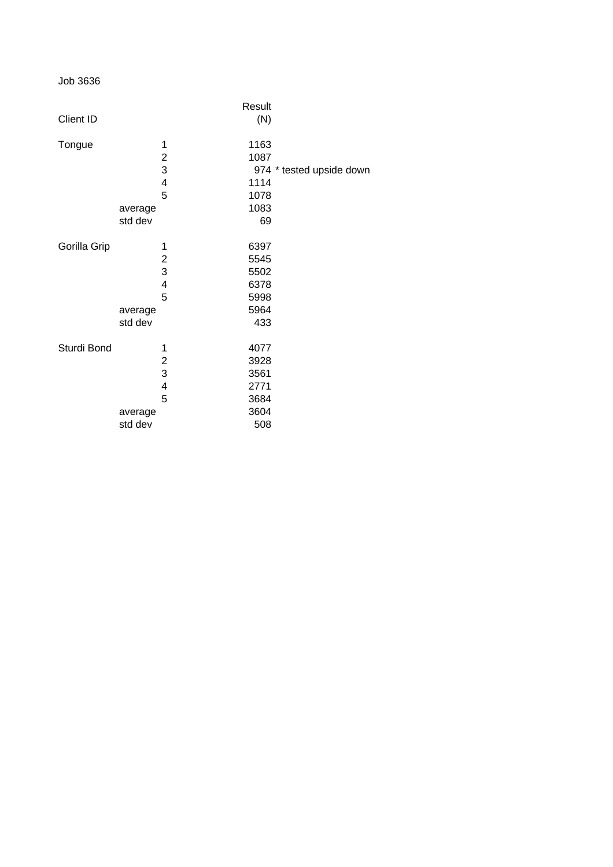Job 3636

|                  |         |              | Result |                          |
|------------------|---------|--------------|--------|--------------------------|
| <b>Client ID</b> |         |              | (N)    |                          |
| Tongue           |         | 1            | 1163   |                          |
|                  |         | $\mathbf{2}$ | 1087   |                          |
|                  |         | 3            |        | 974 * tested upside down |
|                  |         | 4            | 1114   |                          |
|                  |         | 5            | 1078   |                          |
|                  | average |              | 1083   |                          |
|                  | std dev |              | 69     |                          |
| Gorilla Grip     |         | 1            | 6397   |                          |
|                  |         | 2            | 5545   |                          |
|                  |         | 3            | 5502   |                          |
|                  |         | 4            | 6378   |                          |
|                  |         | 5            | 5998   |                          |
|                  | average |              | 5964   |                          |
|                  | std dev |              | 433    |                          |
| Sturdi Bond      |         | 1            | 4077   |                          |
|                  |         | 2            | 3928   |                          |
|                  |         | 3            | 3561   |                          |
|                  |         | 4            | 2771   |                          |
|                  |         | 5            | 3684   |                          |
|                  | average |              | 3604   |                          |
|                  | std dev |              | 508    |                          |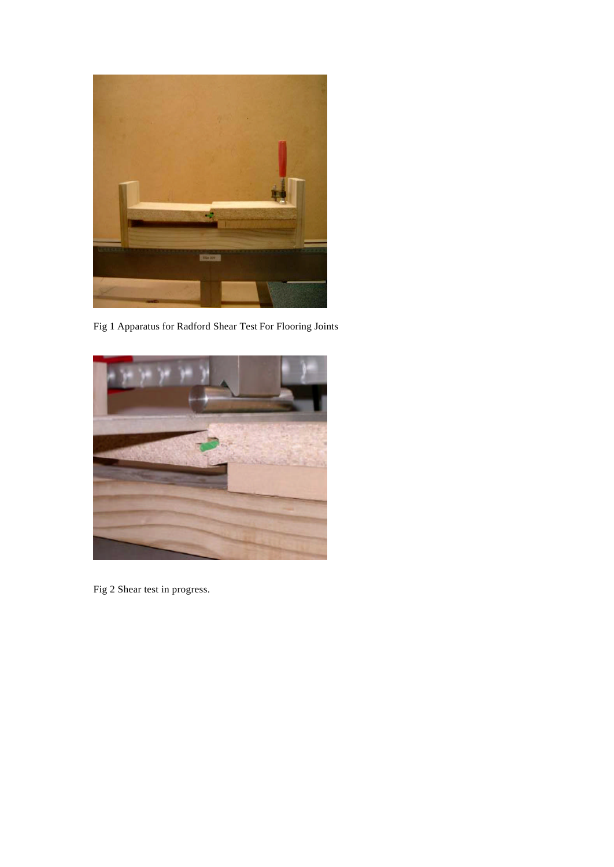

Fig 1 Apparatus for Radford Shear Test For Flooring Joints



Fig 2 Shear test in progress.